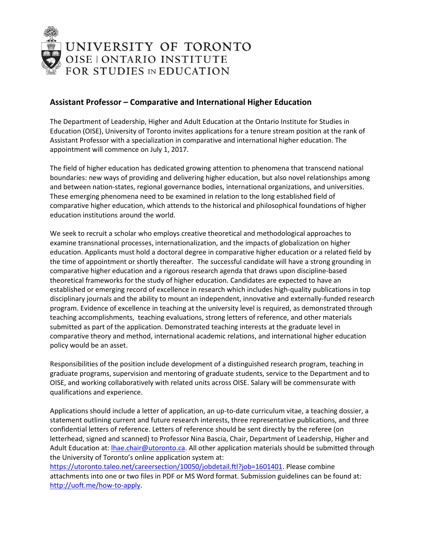

## **Assistant Professor – Comparative and International Higher Education**

The Department of Leadership, Higher and Adult Education at the Ontario Institute for Studies in Education (OISE), University of Toronto invites applications for a tenure stream position at the rank of Assistant Professor with a specialization in comparative and international higher education. The appointment will commence on July 1, 2017.

The field of higher education has dedicated growing attention to phenomena that transcend national boundaries: new ways of providing and delivering higher education, but also novel relationships among and between nation-states, regional governance bodies, international organizations, and universities. These emerging phenomena need to be examined in relation to the long established field of comparative higher education, which attends to the historical and philosophical foundations of higher education institutions around the world.

We seek to recruit a scholar who employs creative theoretical and methodological approaches to examine transnational processes, internationalization, and the impacts of globalization on higher education. Applicants must hold a doctoral degree in comparative higher education or a related field by the time of appointment or shortly thereafter. The successful candidate will have a strong grounding in comparative higher education and a rigorous research agenda that draws upon discipline-based theoretical frameworks for the study of higher education. Candidates are expected to have an established or emerging record of excellence in research which includes high-quality publications in top disciplinary journals and the ability to mount an independent, innovative and externally-funded research program. Evidence of excellence in teaching at the university level is required, as demonstrated through teaching accomplishments, teaching evaluations, strong letters of reference, and other materials submitted as part of the application. Demonstrated teaching interests at the graduate level in comparative theory and method, international academic relations, and international higher education policy would be an asset.

Responsibilities of the position include development of a distinguished research program, teaching in graduate programs, supervision and mentoring of graduate students, service to the Department and to OISE, and working collaboratively with related units across OISE. Salary will be commensurate with qualifications and experience.

Applications should include a letter of application, an up-to-date curriculum vitae, a teaching dossier, a statement outlining current and future research interests, three representative publications, and three confidential letters of reference. Letters of reference should be sent directly by the referee (on letterhead, signed and scanned) to Professor Nina Bascia, Chair, Department of Leadership, Higher and Adult Education at: *lhae.chair@utoronto.ca*. All other application materials should be submitted through the University of Toronto's online application system at:

[https://utoronto.taleo.net/careersection/10050/jobdetail.ftl?job=1601401.](https://utoronto.taleo.net/careersection/10050/jobdetail.ftl?job=1601401) Please combine attachments into one or two files in PDF or MS Word format. Submission guidelines can be found at: [http://uoft.me/how-to-apply.](http://uoft.me/how-to-apply)